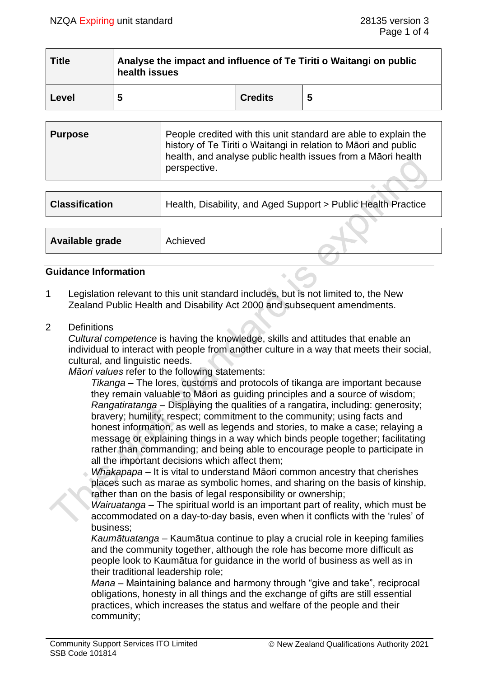| <b>Title</b> | Analyse the impact and influence of Te Tiriti o Waitangi on public<br>health issues |                |   |  |
|--------------|-------------------------------------------------------------------------------------|----------------|---|--|
| Level        | 5                                                                                   | <b>Credits</b> | 5 |  |

| <b>Purpose</b> | People credited with this unit standard are able to explain the<br>history of Te Tiriti o Waitangi in relation to Māori and public<br>health, and analyse public health issues from a Maori health<br>perspective. |
|----------------|--------------------------------------------------------------------------------------------------------------------------------------------------------------------------------------------------------------------|
|                |                                                                                                                                                                                                                    |

| <b>Classification</b> | Health, Disability, and Aged Support > Public Health Practice |
|-----------------------|---------------------------------------------------------------|
|                       |                                                               |
| Available grade       | Achieved                                                      |

#### **Guidance Information**

- 1 Legislation relevant to this unit standard includes, but is not limited to, the New Zealand Public Health and Disability Act 2000 and subsequent amendments.
- 2 Definitions

*Cultural competence* is having the knowledge, skills and attitudes that enable an individual to interact with people from another culture in a way that meets their social, cultural, and linguistic needs.

*Māori values* refer to the following statements:

*Tikanga* – The lores, customs and protocols of tikanga are important because they remain valuable to Māori as guiding principles and a source of wisdom; *Rangatiratanga* – Displaying the qualities of a rangatira, including: generosity; bravery; humility; respect; commitment to the community; using facts and honest information, as well as legends and stories, to make a case; relaving a message or explaining things in a way which binds people together; facilitating rather than commanding; and being able to encourage people to participate in all the important decisions which affect them;

*Whakapapa* – It is vital to understand Māori common ancestry that cherishes places such as marae as symbolic homes, and sharing on the basis of kinship, rather than on the basis of legal responsibility or ownership;

*Wairuatanga* – The spiritual world is an important part of reality, which must be accommodated on a day-to-day basis, even when it conflicts with the 'rules' of business;

*Kaumātuatanga* – Kaumātua continue to play a crucial role in keeping families and the community together, although the role has become more difficult as people look to Kaumātua for guidance in the world of business as well as in their traditional leadership role;

*Mana* – Maintaining balance and harmony through "give and take", reciprocal obligations, honesty in all things and the exchange of gifts are still essential practices, which increases the status and welfare of the people and their community;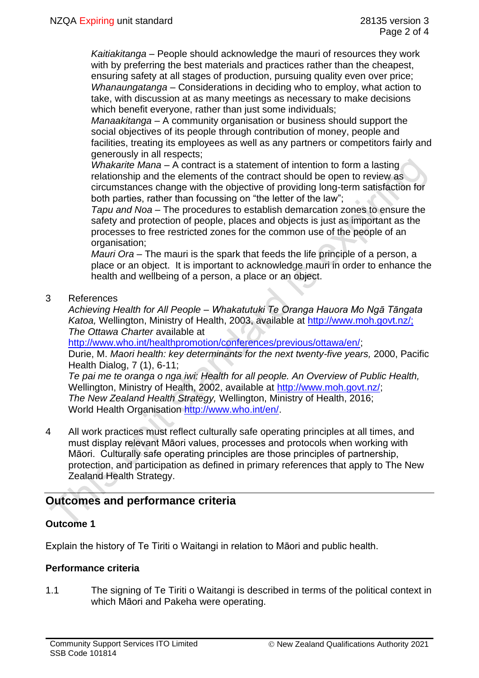*Kaitiakitanga* – People should acknowledge the mauri of resources they work with by preferring the best materials and practices rather than the cheapest, ensuring safety at all stages of production, pursuing quality even over price; *Whanaungatanga* – Considerations in deciding who to employ, what action to take, with discussion at as many meetings as necessary to make decisions which benefit everyone, rather than just some individuals;

*Manaakitanga* – A community organisation or business should support the social objectives of its people through contribution of money, people and facilities, treating its employees as well as any partners or competitors fairly and generously in all respects;

*Whakarite Mana* – A contract is a statement of intention to form a lasting relationship and the elements of the contract should be open to review as circumstances change with the objective of providing long-term satisfaction for both parties, rather than focussing on "the letter of the law";

*Tapu and Noa* – The procedures to establish demarcation zones to ensure the safety and protection of people, places and objects is just as important as the processes to free restricted zones for the common use of the people of an organisation;

*Mauri Ora* – The mauri is the spark that feeds the life principle of a person, a place or an object. It is important to acknowledge mauri in order to enhance the health and wellbeing of a person, a place or an object.

3 References

*Achieving Health for All People – Whakatutuki Te Oranga Hauora Mo Ngā Tāngata Katoa,* Wellington, Ministry of Health, 2003, available at [http://www.moh.govt.nz/;](http://www.moh.govt.nz/) *The Ottawa Charter* available at

[http://www.who.int/healthpromotion/conferences/previous/ottawa/en/;](http://www.who.int/healthpromotion/conferences/previous/ottawa/en/)

Durie, M. *Maori health: key determinants for the next twenty-five years,* 2000, Pacific Health Dialog, 7 (1), 6-11;

*Te pai me te oranga o nga iwi: Health for all people. An Overview of Public Health,* Wellington, Ministry of Health, 2002, available at [http://www.moh.govt.nz/;](http://www.moh.govt.nz/) *The New Zealand Health Strategy,* Wellington, Ministry of Health, 2016; World Health Organisation [http://www.who.int/en/.](http://www.who.int/en/)

4 All work practices must reflect culturally safe operating principles at all times, and must display relevant Māori values, processes and protocols when working with Māori. Culturally safe operating principles are those principles of partnership, protection, and participation as defined in primary references that apply to The New Zealand Health Strategy.

# **Outcomes and performance criteria**

## **Outcome 1**

Explain the history of Te Tiriti o Waitangi in relation to Māori and public health.

#### **Performance criteria**

1.1 The signing of Te Tiriti o Waitangi is described in terms of the political context in which Māori and Pakeha were operating.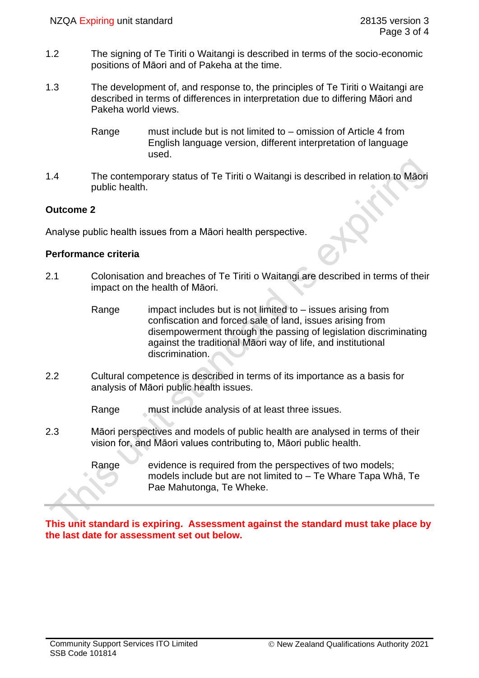- 1.2 The signing of Te Tiriti o Waitangi is described in terms of the socio-economic positions of Māori and of Pakeha at the time.
- 1.3 The development of, and response to, the principles of Te Tiriti o Waitangi are described in terms of differences in interpretation due to differing Māori and Pakeha world views.
	- Range must include but is not limited to omission of Article 4 from English language version, different interpretation of language used.
- 1.4 The contemporary status of Te Tiriti o Waitangi is described in relation to Māori public health.

### **Outcome 2**

Analyse public health issues from a Māori health perspective.

#### **Performance criteria**

- 2.1 Colonisation and breaches of Te Tiriti o Waitangi are described in terms of their impact on the health of Māori.
	- Range impact includes but is not limited to  $-$  issues arising from confiscation and forced sale of land, issues arising from disempowerment through the passing of legislation discriminating against the traditional Māori way of life, and institutional discrimination.
- 2.2 Cultural competence is described in terms of its importance as a basis for analysis of Māori public health issues.

Range must include analysis of at least three issues.

- 2.3 Māori perspectives and models of public health are analysed in terms of their vision for, and Māori values contributing to, Māori public health.
	- Range evidence is required from the perspectives of two models; models include but are not limited to – Te Whare Tapa Whā, Te Pae Mahutonga, Te Wheke.

**This unit standard is expiring. Assessment against the standard must take place by the last date for assessment set out below.**